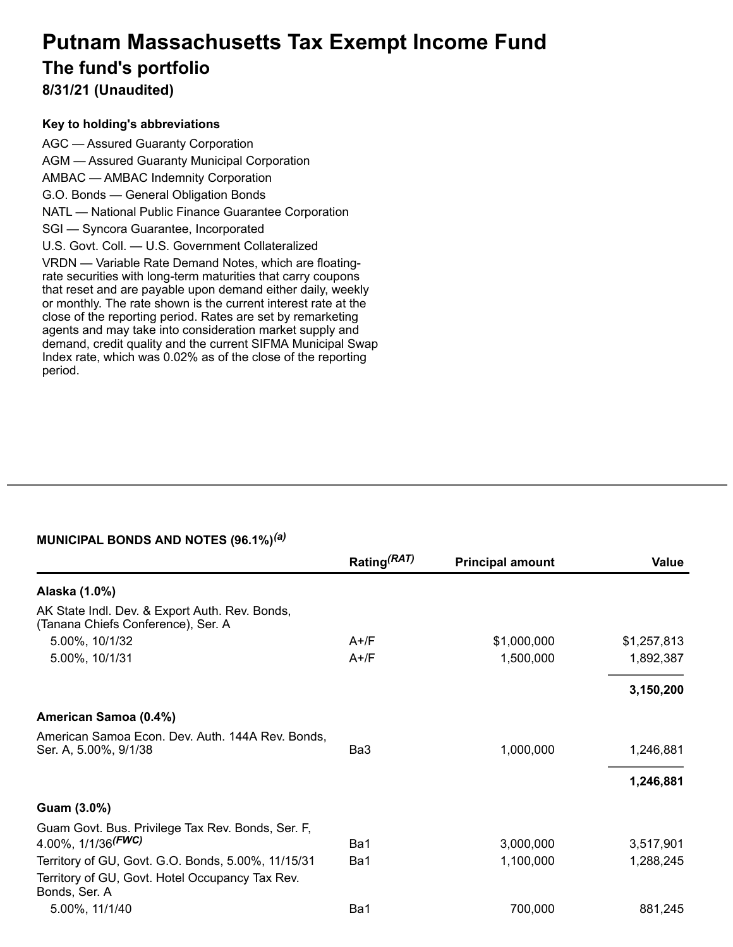# **Putnam Massachusetts Tax Exempt Income Fund The fund's portfolio 8/31/21 (Unaudited)**

#### **Key to holding's abbreviations**

AGC — Assured Guaranty Corporation AGM — Assured Guaranty Municipal Corporation AMBAC — AMBAC Indemnity Corporation G.O. Bonds — General Obligation Bonds NATL — National Public Finance Guarantee Corporation SGI — Syncora Guarantee, Incorporated U.S. Govt. Coll. — U.S. Government Collateralized VRDN — Variable Rate Demand Notes, which are floatingrate securities with long-term maturities that carry coupons that reset and are payable upon demand either daily, weekly or monthly. The rate shown is the current interest rate at the close of the reporting period. Rates are set by remarketing agents and may take into consideration market supply and demand, credit quality and the current SIFMA Municipal Swap Index rate, which was 0.02% as of the close of the reporting period.

## **MUNICIPAL BONDS AND NOTES (96.1%)** *(a)*

|                                                                                       | Rating <sup>(RAT)</sup> | <b>Principal amount</b> | Value       |
|---------------------------------------------------------------------------------------|-------------------------|-------------------------|-------------|
| Alaska (1.0%)                                                                         |                         |                         |             |
| AK State Indl. Dev. & Export Auth. Rev. Bonds,<br>(Tanana Chiefs Conference), Ser. A  |                         |                         |             |
| 5.00%, 10/1/32                                                                        | $A+$ /F                 | \$1,000,000             | \$1,257,813 |
| 5.00%, 10/1/31                                                                        | $A+$ /F                 | 1,500,000               | 1,892,387   |
|                                                                                       |                         |                         | 3,150,200   |
| American Samoa (0.4%)                                                                 |                         |                         |             |
| American Samoa Econ. Dev. Auth. 144A Rev. Bonds,<br>Ser. A, 5.00%, 9/1/38             | Ba3                     | 1,000,000               | 1,246,881   |
|                                                                                       |                         |                         | 1,246,881   |
| Guam (3.0%)                                                                           |                         |                         |             |
| Guam Govt. Bus. Privilege Tax Rev. Bonds, Ser. F,<br>4.00%, $1/1/36$ <sup>(FWC)</sup> | Ba1                     | 3,000,000               | 3,517,901   |
| Territory of GU, Govt. G.O. Bonds, 5.00%, 11/15/31                                    | Ba1                     | 1,100,000               | 1,288,245   |
| Territory of GU, Govt. Hotel Occupancy Tax Rev.<br>Bonds, Ser. A                      |                         |                         |             |
| 5.00%, 11/1/40                                                                        | Ba1                     | 700,000                 | 881,245     |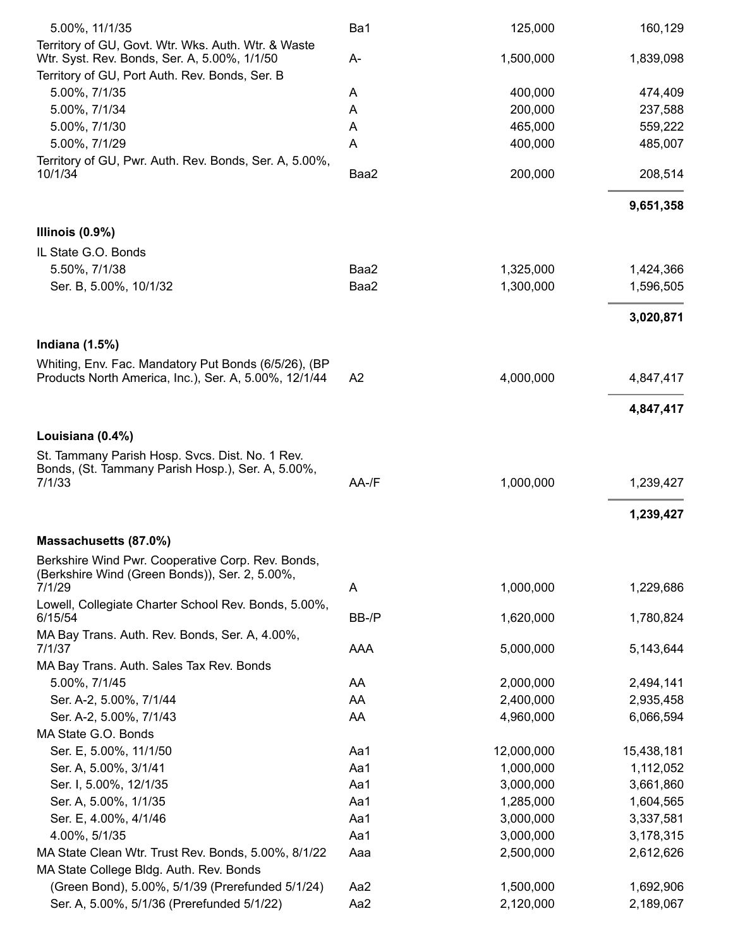| 5.00%, 11/1/35                                                                                                | Ba1            | 125,000    | 160,129    |
|---------------------------------------------------------------------------------------------------------------|----------------|------------|------------|
| Territory of GU, Govt. Wtr. Wks. Auth. Wtr. & Waste                                                           |                |            |            |
| Wtr. Syst. Rev. Bonds, Ser. A, 5.00%, 1/1/50                                                                  | A-             | 1,500,000  | 1,839,098  |
| Territory of GU, Port Auth. Rev. Bonds, Ser. B<br>5.00%, 7/1/35                                               |                | 400,000    | 474,409    |
| 5.00%, 7/1/34                                                                                                 | A              | 200,000    | 237,588    |
|                                                                                                               | A              |            |            |
| 5.00%, 7/1/30                                                                                                 | A              | 465,000    | 559,222    |
| 5.00%, 7/1/29                                                                                                 | Α              | 400,000    | 485,007    |
| Territory of GU, Pwr. Auth. Rev. Bonds, Ser. A, 5.00%,<br>10/1/34                                             | Baa2           | 200,000    | 208,514    |
|                                                                                                               |                |            | 9,651,358  |
| Illinois $(0.9\%)$                                                                                            |                |            |            |
| IL State G.O. Bonds                                                                                           |                |            |            |
| 5.50%, 7/1/38                                                                                                 | Baa2           | 1,325,000  | 1,424,366  |
| Ser. B, 5.00%, 10/1/32                                                                                        | Baa2           | 1,300,000  | 1,596,505  |
|                                                                                                               |                |            | 3,020,871  |
| Indiana $(1.5%)$                                                                                              |                |            |            |
| Whiting, Env. Fac. Mandatory Put Bonds (6/5/26), (BP<br>Products North America, Inc.), Ser. A, 5.00%, 12/1/44 | A <sub>2</sub> | 4,000,000  | 4,847,417  |
|                                                                                                               |                |            | 4,847,417  |
|                                                                                                               |                |            |            |
| Louisiana (0.4%)                                                                                              |                |            |            |
| St. Tammany Parish Hosp. Svcs. Dist. No. 1 Rev.<br>Bonds, (St. Tammany Parish Hosp.), Ser. A, 5.00%,          |                |            |            |
| 7/1/33                                                                                                        | AA-/F          | 1,000,000  | 1,239,427  |
|                                                                                                               |                |            | 1,239,427  |
| Massachusetts (87.0%)                                                                                         |                |            |            |
| Berkshire Wind Pwr. Cooperative Corp. Rev. Bonds,                                                             |                |            |            |
| (Berkshire Wind (Green Bonds)), Ser. 2, 5.00%,                                                                |                |            |            |
| 7/1/29                                                                                                        | A              | 1,000,000  | 1,229,686  |
| Lowell, Collegiate Charter School Rev. Bonds, 5.00%,<br>6/15/54                                               | BB-/P          | 1,620,000  | 1,780,824  |
| MA Bay Trans. Auth. Rev. Bonds, Ser. A, 4.00%,<br>7/1/37                                                      | AAA            | 5,000,000  | 5,143,644  |
| MA Bay Trans. Auth. Sales Tax Rev. Bonds                                                                      |                |            |            |
| 5.00%, 7/1/45                                                                                                 | AA             | 2,000,000  | 2,494,141  |
| Ser. A-2, 5.00%, 7/1/44                                                                                       | AA             | 2,400,000  | 2,935,458  |
| Ser. A-2, 5.00%, 7/1/43                                                                                       | AA             | 4,960,000  | 6,066,594  |
| MA State G.O. Bonds                                                                                           |                |            |            |
| Ser. E, 5.00%, 11/1/50                                                                                        | Aa1            | 12,000,000 | 15,438,181 |
| Ser. A, 5.00%, 3/1/41                                                                                         | Aa1            | 1,000,000  | 1,112,052  |
| Ser. I, 5.00%, 12/1/35                                                                                        | Aa1            | 3,000,000  | 3,661,860  |
| Ser. A, 5.00%, 1/1/35                                                                                         | Aa1            | 1,285,000  | 1,604,565  |
| Ser. E, 4.00%, 4/1/46                                                                                         | Aa1            | 3,000,000  | 3,337,581  |
| 4.00%, 5/1/35                                                                                                 | Aa1            | 3,000,000  | 3,178,315  |
| MA State Clean Wtr. Trust Rev. Bonds, 5.00%, 8/1/22                                                           | Aaa            | 2,500,000  | 2,612,626  |
| MA State College Bldg. Auth. Rev. Bonds                                                                       |                |            |            |
| (Green Bond), 5.00%, 5/1/39 (Prerefunded 5/1/24)                                                              | Aa2            | 1,500,000  | 1,692,906  |
| Ser. A, 5.00%, 5/1/36 (Prerefunded 5/1/22)                                                                    | Aa2            | 2,120,000  | 2,189,067  |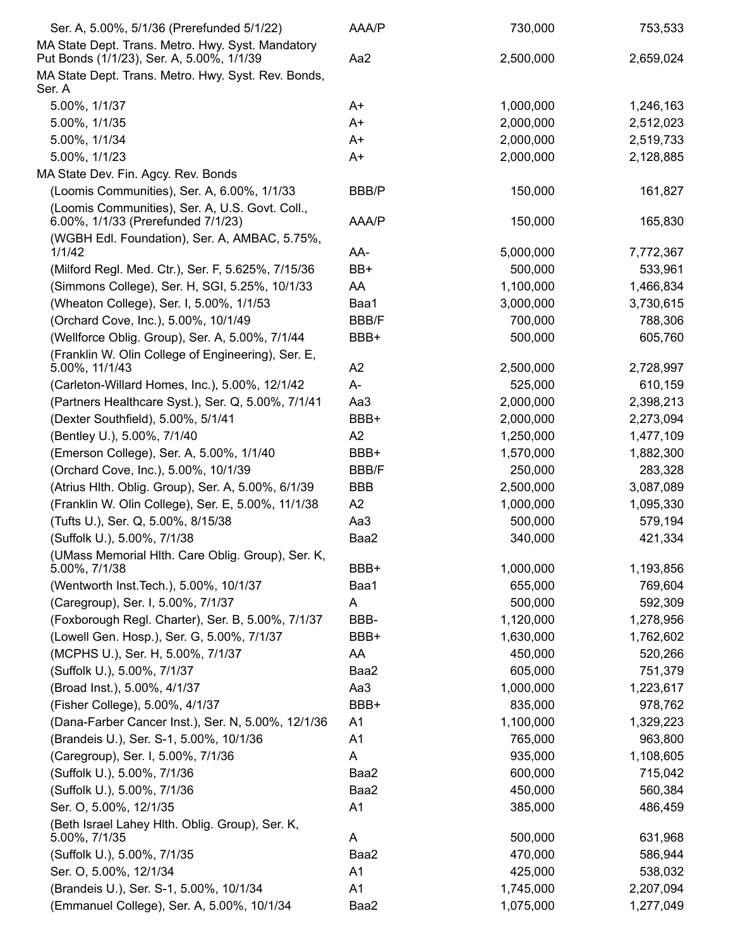| Ser. A, 5.00%, 5/1/36 (Prerefunded 5/1/22)                                                     | AAA/P          | 730,000   | 753,533   |
|------------------------------------------------------------------------------------------------|----------------|-----------|-----------|
| MA State Dept. Trans. Metro. Hwy. Syst. Mandatory<br>Put Bonds (1/1/23), Ser. A, 5.00%, 1/1/39 | Aa2            | 2,500,000 | 2,659,024 |
| MA State Dept. Trans. Metro. Hwy. Syst. Rev. Bonds,<br>Ser. A                                  |                |           |           |
| 5.00%, 1/1/37                                                                                  | A+             | 1,000,000 | 1,246,163 |
| 5.00%, 1/1/35                                                                                  | A+             | 2,000,000 | 2,512,023 |
| 5.00%, 1/1/34                                                                                  | A+             | 2,000,000 | 2,519,733 |
| 5.00%, 1/1/23                                                                                  | A+             | 2,000,000 | 2,128,885 |
| MA State Dev. Fin. Agcy. Rev. Bonds                                                            |                |           |           |
| (Loomis Communities), Ser. A, 6.00%, 1/1/33                                                    | BBB/P          | 150,000   | 161,827   |
| (Loomis Communities), Ser. A, U.S. Govt. Coll.,<br>6.00%, 1/1/33 (Prerefunded 7/1/23)          | AAA/P          | 150,000   | 165,830   |
| (WGBH Edl. Foundation), Ser. A, AMBAC, 5.75%,<br>1/1/42                                        | AA-            | 5,000,000 | 7,772,367 |
| (Milford Regl. Med. Ctr.), Ser. F, 5.625%, 7/15/36                                             | BB+            | 500,000   | 533,961   |
| (Simmons College), Ser. H, SGI, 5.25%, 10/1/33                                                 | AA             | 1,100,000 | 1,466,834 |
| (Wheaton College), Ser. I, 5.00%, 1/1/53                                                       | Baa1           | 3,000,000 | 3,730,615 |
| (Orchard Cove, Inc.), 5.00%, 10/1/49                                                           | BBB/F          | 700,000   | 788,306   |
| (Wellforce Oblig. Group), Ser. A, 5.00%, 7/1/44                                                | BBB+           | 500,000   | 605,760   |
| (Franklin W. Olin College of Engineering), Ser. E,                                             |                |           |           |
| 5.00%, 11/1/43                                                                                 | A <sub>2</sub> | 2,500,000 | 2,728,997 |
| (Carleton-Willard Homes, Inc.), 5.00%, 12/1/42                                                 | A-             | 525,000   | 610,159   |
| (Partners Healthcare Syst.), Ser. Q, 5.00%, 7/1/41                                             | Aa3            | 2,000,000 | 2,398,213 |
| (Dexter Southfield), 5.00%, 5/1/41                                                             | BBB+           | 2,000,000 | 2,273,094 |
| (Bentley U.), 5.00%, 7/1/40                                                                    | A <sub>2</sub> | 1,250,000 | 1,477,109 |
| (Emerson College), Ser. A, 5.00%, 1/1/40                                                       | BBB+           | 1,570,000 | 1,882,300 |
| (Orchard Cove, Inc.), 5.00%, 10/1/39                                                           | <b>BBB/F</b>   | 250,000   | 283,328   |
| (Atrius Hlth. Oblig. Group), Ser. A, 5.00%, 6/1/39                                             | <b>BBB</b>     | 2,500,000 | 3,087,089 |
| (Franklin W. Olin College), Ser. E, 5.00%, 11/1/38                                             | A2             | 1,000,000 | 1,095,330 |
| (Tufts U.), Ser. Q, 5.00%, 8/15/38                                                             | Aa3            | 500,000   | 579,194   |
| (Suffolk U.), 5.00%, 7/1/38                                                                    | Baa2           | 340,000   | 421,334   |
| (UMass Memorial Hlth. Care Oblig. Group), Ser. K,                                              |                |           |           |
| 5.00%, 7/1/38                                                                                  | BBB+           | 1,000,000 | 1,193,856 |
| (Wentworth Inst. Tech.), 5.00%, 10/1/37                                                        | Baa1           | 655,000   | 769,604   |
| (Caregroup), Ser. I, 5.00%, 7/1/37                                                             | A              | 500,000   | 592,309   |
| (Foxborough Regl. Charter), Ser. B, 5.00%, 7/1/37                                              | BBB-           | 1,120,000 | 1,278,956 |
| (Lowell Gen. Hosp.), Ser. G, 5.00%, 7/1/37                                                     | BBB+           | 1,630,000 | 1,762,602 |
| (MCPHS U.), Ser. H, 5.00%, 7/1/37                                                              | AA             | 450,000   | 520,266   |
| (Suffolk U.), 5.00%, 7/1/37                                                                    | Baa2           | 605,000   | 751,379   |
| (Broad Inst.), 5.00%, 4/1/37                                                                   | Aa3            | 1,000,000 | 1,223,617 |
| (Fisher College), 5.00%, 4/1/37                                                                | BBB+           | 835,000   | 978,762   |
| (Dana-Farber Cancer Inst.), Ser. N, 5.00%, 12/1/36                                             | A <sub>1</sub> | 1,100,000 | 1,329,223 |
| (Brandeis U.), Ser. S-1, 5.00%, 10/1/36                                                        | A1             | 765,000   | 963,800   |
| (Caregroup), Ser. I, 5.00%, 7/1/36                                                             | A              | 935,000   | 1,108,605 |
| (Suffolk U.), 5.00%, 7/1/36                                                                    | Baa2           | 600,000   | 715,042   |
| (Suffolk U.), 5.00%, 7/1/36                                                                    | Baa2           | 450,000   | 560,384   |
| Ser. O, 5.00%, 12/1/35                                                                         | A <sub>1</sub> | 385,000   | 486,459   |
| (Beth Israel Lahey Hlth. Oblig. Group), Ser. K,<br>5.00%, 7/1/35                               | A              | 500,000   | 631,968   |
| (Suffolk U.), 5.00%, 7/1/35                                                                    | Baa2           | 470,000   | 586,944   |
| Ser. O, 5.00%, 12/1/34                                                                         | A1             | 425,000   | 538,032   |
| (Brandeis U.), Ser. S-1, 5.00%, 10/1/34                                                        | A1             | 1,745,000 | 2,207,094 |
| (Emmanuel College), Ser. A, 5.00%, 10/1/34                                                     | Baa2           | 1,075,000 | 1,277,049 |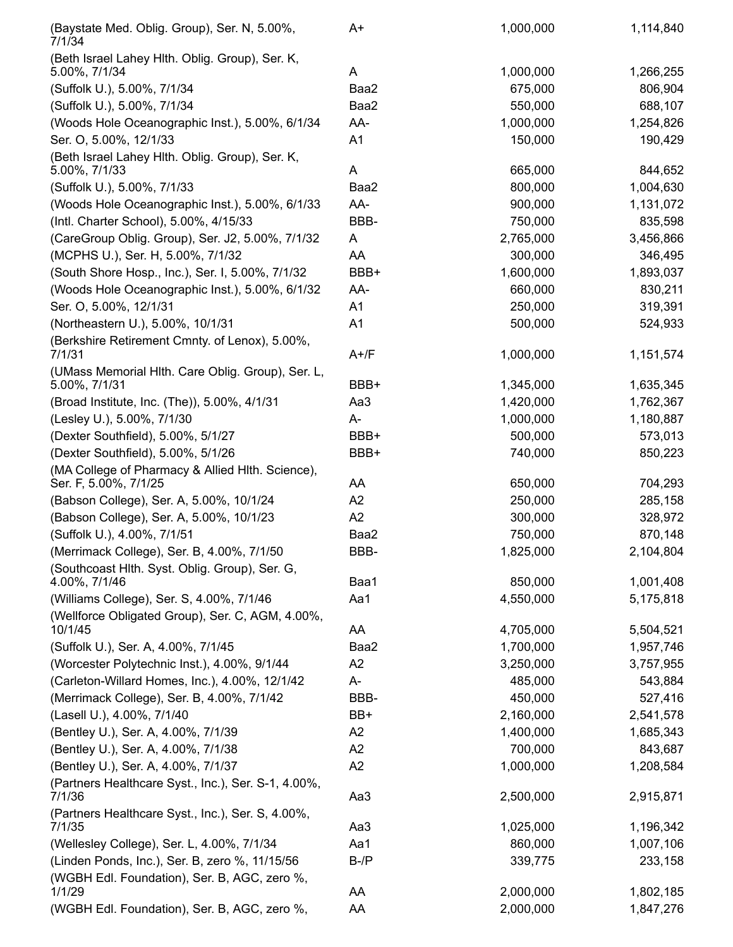| (Baystate Med. Oblig. Group), Ser. N, 5.00%,<br>7/1/34                    | A+             | 1,000,000 | 1,114,840 |
|---------------------------------------------------------------------------|----------------|-----------|-----------|
| (Beth Israel Lahey Hlth. Oblig. Group), Ser. K,<br>5.00%, 7/1/34          | A              | 1,000,000 | 1,266,255 |
| (Suffolk U.), 5.00%, 7/1/34                                               | Baa2           | 675,000   | 806,904   |
| (Suffolk U.), 5.00%, 7/1/34                                               | Baa2           | 550,000   | 688,107   |
| (Woods Hole Oceanographic Inst.), 5.00%, 6/1/34                           | AA-            | 1,000,000 | 1,254,826 |
| Ser. O, 5.00%, 12/1/33                                                    | A1             | 150,000   | 190,429   |
| (Beth Israel Lahey Hlth. Oblig. Group), Ser. K,<br>5.00%, 7/1/33          | A              | 665,000   | 844,652   |
| (Suffolk U.), 5.00%, 7/1/33                                               | Baa2           | 800,000   | 1,004,630 |
| (Woods Hole Oceanographic Inst.), 5.00%, 6/1/33                           | AA-            | 900,000   | 1,131,072 |
| (Intl. Charter School), 5.00%, 4/15/33                                    | BBB-           | 750,000   | 835,598   |
| (CareGroup Oblig. Group), Ser. J2, 5.00%, 7/1/32                          | A              | 2,765,000 | 3,456,866 |
| (MCPHS U.), Ser. H, 5.00%, 7/1/32                                         | AA             | 300,000   | 346,495   |
| (South Shore Hosp., Inc.), Ser. I, 5.00%, 7/1/32                          | BBB+           | 1,600,000 | 1,893,037 |
| (Woods Hole Oceanographic Inst.), 5.00%, 6/1/32                           | AA-            | 660,000   | 830,211   |
| Ser. O, 5.00%, 12/1/31                                                    | A1             | 250,000   | 319,391   |
| (Northeastern U.), 5.00%, 10/1/31                                         | A1             | 500,000   | 524,933   |
| (Berkshire Retirement Cmnty. of Lenox), 5.00%,<br>7/1/31                  | $A+$ /F        | 1,000,000 | 1,151,574 |
| (UMass Memorial Hlth. Care Oblig. Group), Ser. L,                         |                |           |           |
| 5.00%, 7/1/31                                                             | BBB+           | 1,345,000 | 1,635,345 |
| (Broad Institute, Inc. (The)), 5.00%, 4/1/31                              | Aa3            | 1,420,000 | 1,762,367 |
| (Lesley U.), 5.00%, 7/1/30                                                | A-             | 1,000,000 | 1,180,887 |
| (Dexter Southfield), 5.00%, 5/1/27                                        | BBB+           | 500,000   | 573,013   |
| (Dexter Southfield), 5.00%, 5/1/26                                        | BBB+           | 740,000   | 850,223   |
| (MA College of Pharmacy & Allied HIth. Science),<br>Ser. F, 5.00%, 7/1/25 | AA             | 650,000   | 704,293   |
| (Babson College), Ser. A, 5.00%, 10/1/24                                  | A <sub>2</sub> | 250,000   | 285,158   |
| (Babson College), Ser. A, 5.00%, 10/1/23                                  | A2             | 300,000   | 328,972   |
| (Suffolk U.), 4.00%, 7/1/51                                               | Baa2           | 750,000   | 870,148   |
| (Merrimack College), Ser. B, 4.00%, 7/1/50                                | BBB-           | 1,825,000 | 2,104,804 |
| (Southcoast Hith. Syst. Oblig. Group), Ser. G,<br>4.00%, 7/1/46           | Baa1           | 850,000   | 1,001,408 |
| (Williams College), Ser. S, 4.00%, 7/1/46                                 | Aa1            | 4,550,000 | 5,175,818 |
| (Wellforce Obligated Group), Ser. C, AGM, 4.00%,<br>10/1/45               | AA             | 4,705,000 | 5,504,521 |
| (Suffolk U.), Ser. A, 4.00%, 7/1/45                                       | Baa2           | 1,700,000 | 1,957,746 |
| (Worcester Polytechnic Inst.), 4.00%, 9/1/44                              | A2             | 3,250,000 | 3,757,955 |
| (Carleton-Willard Homes, Inc.), 4.00%, 12/1/42                            | A-             | 485,000   | 543,884   |
| (Merrimack College), Ser. B, 4.00%, 7/1/42                                | BBB-           | 450,000   | 527,416   |
| (Lasell U.), 4.00%, 7/1/40                                                | BB+            | 2,160,000 | 2,541,578 |
| (Bentley U.), Ser. A, 4.00%, 7/1/39                                       | A2             | 1,400,000 | 1,685,343 |
| (Bentley U.), Ser. A, 4.00%, 7/1/38                                       | A2             | 700,000   | 843,687   |
| (Bentley U.), Ser. A, 4.00%, 7/1/37                                       | A2             | 1,000,000 | 1,208,584 |
| (Partners Healthcare Syst., Inc.), Ser. S-1, 4.00%,<br>7/1/36             | Aa3            | 2,500,000 | 2,915,871 |
| (Partners Healthcare Syst., Inc.), Ser. S, 4.00%,<br>7/1/35               | Aa3            | 1,025,000 | 1,196,342 |
| (Wellesley College), Ser. L, 4.00%, 7/1/34                                | Aa1            | 860,000   | 1,007,106 |
| (Linden Ponds, Inc.), Ser. B, zero %, 11/15/56                            | $B$ -/ $P$     | 339,775   | 233,158   |
| (WGBH Edl. Foundation), Ser. B, AGC, zero %,<br>1/1/29                    | AA             | 2,000,000 | 1,802,185 |
| (WGBH Edl. Foundation), Ser. B, AGC, zero %,                              | AA             | 2,000,000 | 1,847,276 |
|                                                                           |                |           |           |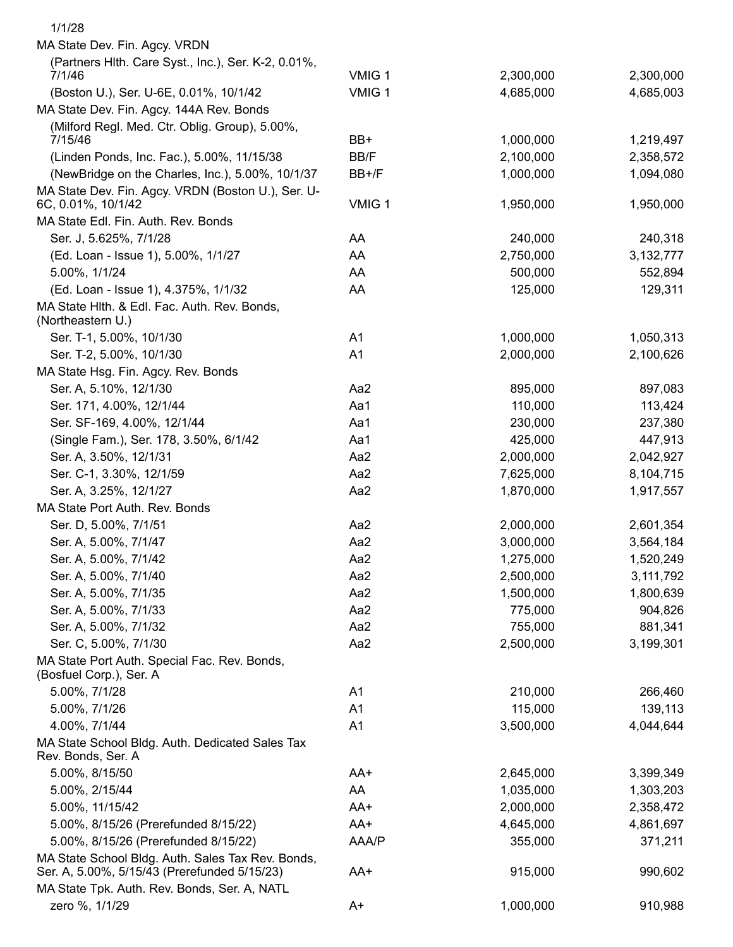| 1/1/28                                                                                            |                |           |           |
|---------------------------------------------------------------------------------------------------|----------------|-----------|-----------|
| MA State Dev. Fin. Agcy. VRDN                                                                     |                |           |           |
| (Partners Hlth. Care Syst., Inc.), Ser. K-2, 0.01%,                                               |                |           |           |
| 7/1/46                                                                                            | VMIG 1         | 2,300,000 | 2,300,000 |
| (Boston U.), Ser. U-6E, 0.01%, 10/1/42                                                            | VMIG 1         | 4,685,000 | 4,685,003 |
| MA State Dev. Fin. Agcy. 144A Rev. Bonds                                                          |                |           |           |
| (Milford Regl. Med. Ctr. Oblig. Group), 5.00%,                                                    |                |           |           |
| 7/15/46                                                                                           | BB+            | 1,000,000 | 1,219,497 |
| (Linden Ponds, Inc. Fac.), 5.00%, 11/15/38                                                        | BB/F           | 2,100,000 | 2,358,572 |
| (NewBridge on the Charles, Inc.), 5.00%, 10/1/37                                                  | BB+/F          | 1,000,000 | 1,094,080 |
| MA State Dev. Fin. Agcy. VRDN (Boston U.), Ser. U-<br>6C, 0.01%, 10/1/42                          | VMIG 1         | 1,950,000 | 1,950,000 |
| MA State Edl. Fin. Auth. Rev. Bonds                                                               |                |           |           |
| Ser. J, 5.625%, 7/1/28                                                                            | AA             | 240,000   | 240,318   |
| (Ed. Loan - Issue 1), 5.00%, 1/1/27                                                               | AA             | 2,750,000 | 3,132,777 |
| 5.00%, 1/1/24                                                                                     | AA             | 500,000   | 552,894   |
| (Ed. Loan - Issue 1), 4.375%, 1/1/32                                                              | AA             | 125,000   | 129,311   |
| MA State Hlth. & Edl. Fac. Auth. Rev. Bonds,                                                      |                |           |           |
| (Northeastern U.)                                                                                 |                |           |           |
| Ser. T-1, 5.00%, 10/1/30                                                                          | A <sub>1</sub> | 1,000,000 | 1,050,313 |
| Ser. T-2, 5.00%, 10/1/30                                                                          | A <sub>1</sub> | 2,000,000 | 2,100,626 |
| MA State Hsg. Fin. Agcy. Rev. Bonds                                                               |                |           |           |
| Ser. A, 5.10%, 12/1/30                                                                            | Aa2            | 895,000   | 897,083   |
| Ser. 171, 4.00%, 12/1/44                                                                          | Aa1            | 110,000   | 113,424   |
| Ser. SF-169, 4.00%, 12/1/44                                                                       | Aa1            | 230,000   | 237,380   |
| (Single Fam.), Ser. 178, 3.50%, 6/1/42                                                            | Aa1            | 425,000   | 447,913   |
| Ser. A, 3.50%, 12/1/31                                                                            | Aa2            | 2,000,000 | 2,042,927 |
| Ser. C-1, 3.30%, 12/1/59                                                                          | Aa2            | 7,625,000 | 8,104,715 |
| Ser. A, 3.25%, 12/1/27                                                                            | Aa2            | 1,870,000 | 1,917,557 |
| MA State Port Auth. Rev. Bonds                                                                    |                |           |           |
| Ser. D, 5.00%, 7/1/51                                                                             | Aa2            | 2,000,000 | 2,601,354 |
| Ser. A, 5.00%, 7/1/47                                                                             | Aa2            | 3,000,000 | 3,564,184 |
| Ser. A, 5.00%, 7/1/42                                                                             | Aa2            | 1,275,000 | 1,520,249 |
| Ser. A, 5.00%, 7/1/40                                                                             | Aa2            | 2,500,000 | 3,111,792 |
| Ser. A, 5.00%, 7/1/35                                                                             | Aa2            | 1,500,000 | 1,800,639 |
| Ser. A, 5.00%, 7/1/33                                                                             | Aa2            | 775,000   | 904,826   |
| Ser. A, 5.00%, 7/1/32                                                                             | Aa2            | 755,000   | 881,341   |
| Ser. C, 5.00%, 7/1/30                                                                             | Aa2            | 2,500,000 | 3,199,301 |
| MA State Port Auth. Special Fac. Rev. Bonds,                                                      |                |           |           |
| (Bosfuel Corp.), Ser. A                                                                           |                |           |           |
| 5.00%, 7/1/28                                                                                     | A <sub>1</sub> | 210,000   | 266,460   |
| 5.00%, 7/1/26                                                                                     | A <sub>1</sub> | 115,000   | 139,113   |
| 4.00%, 7/1/44                                                                                     | A <sub>1</sub> | 3,500,000 | 4,044,644 |
| MA State School Bldg. Auth. Dedicated Sales Tax<br>Rev. Bonds, Ser. A                             |                |           |           |
| 5.00%, 8/15/50                                                                                    | AA+            | 2,645,000 | 3,399,349 |
| 5.00%, 2/15/44                                                                                    | AA             | 1,035,000 | 1,303,203 |
| 5.00%, 11/15/42                                                                                   | AA+            | 2,000,000 | 2,358,472 |
| 5.00%, 8/15/26 (Prerefunded 8/15/22)                                                              | AA+            | 4,645,000 | 4,861,697 |
| 5.00%, 8/15/26 (Prerefunded 8/15/22)                                                              | AAA/P          | 355,000   | 371,211   |
| MA State School Bldg. Auth. Sales Tax Rev. Bonds,<br>Ser. A, 5.00%, 5/15/43 (Prerefunded 5/15/23) | AA+            | 915,000   | 990,602   |
| MA State Tpk. Auth. Rev. Bonds, Ser. A, NATL                                                      |                |           |           |
| zero %, 1/1/29                                                                                    | A+             | 1,000,000 | 910,988   |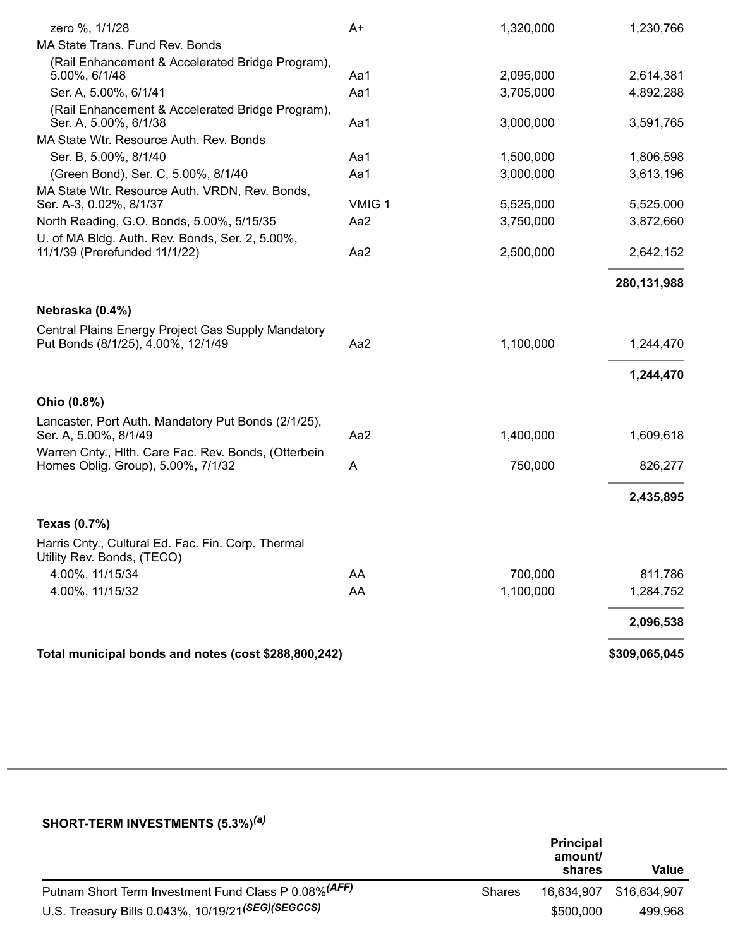| zero %, 1/1/28                                                                           | $A+$   | 1,320,000              | 1,230,766              |
|------------------------------------------------------------------------------------------|--------|------------------------|------------------------|
| MA State Trans. Fund Rev. Bonds                                                          |        |                        |                        |
| (Rail Enhancement & Accelerated Bridge Program),                                         | Aa1    |                        |                        |
| 5.00%, 6/1/48<br>Ser. A, 5.00%, 6/1/41                                                   | Aa1    | 2,095,000<br>3,705,000 | 2,614,381<br>4,892,288 |
| (Rail Enhancement & Accelerated Bridge Program),                                         |        |                        |                        |
| Ser. A, 5.00%, 6/1/38                                                                    | Aa1    | 3,000,000              | 3,591,765              |
| MA State Wtr. Resource Auth. Rev. Bonds                                                  |        |                        |                        |
| Ser. B, 5.00%, 8/1/40                                                                    | Aa1    | 1,500,000              | 1,806,598              |
| (Green Bond), Ser. C, 5.00%, 8/1/40                                                      | Aa1    | 3,000,000              | 3,613,196              |
| MA State Wtr. Resource Auth. VRDN, Rev. Bonds,<br>Ser. A-3, 0.02%, 8/1/37                | VMIG 1 | 5,525,000              | 5,525,000              |
| North Reading, G.O. Bonds, 5.00%, 5/15/35                                                | Aa2    | 3,750,000              | 3,872,660              |
| U. of MA Bldg. Auth. Rev. Bonds, Ser. 2, 5.00%,                                          |        |                        |                        |
| 11/1/39 (Prerefunded 11/1/22)                                                            | Aa2    | 2,500,000              | 2,642,152              |
|                                                                                          |        |                        | 280,131,988            |
| Nebraska (0.4%)                                                                          |        |                        |                        |
| Central Plains Energy Project Gas Supply Mandatory<br>Put Bonds (8/1/25), 4.00%, 12/1/49 | Aa2    | 1,100,000              | 1,244,470              |
|                                                                                          |        |                        | 1,244,470              |
| Ohio (0.8%)                                                                              |        |                        |                        |
| Lancaster, Port Auth. Mandatory Put Bonds (2/1/25),                                      |        |                        |                        |
| Ser. A, 5.00%, 8/1/49                                                                    | Aa2    | 1,400,000              | 1,609,618              |
| Warren Cnty., Hlth. Care Fac. Rev. Bonds, (Otterbein                                     |        |                        |                        |
| Homes Oblig. Group), 5.00%, 7/1/32                                                       | A      | 750,000                | 826,277                |
|                                                                                          |        |                        | 2,435,895              |
| Texas (0.7%)                                                                             |        |                        |                        |
| Harris Cnty., Cultural Ed. Fac. Fin. Corp. Thermal<br>Utility Rev. Bonds, (TECO)         |        |                        |                        |
| 4.00%, 11/15/34                                                                          | AA     | 700,000                | 811,786                |
| 4.00%, 11/15/32                                                                          | AA     | 1,100,000              | 1,284,752              |
|                                                                                          |        |                        | 2,096,538              |
| Total municipal bonds and notes (cost \$288,800,242)                                     |        |                        | \$309,065,045          |
|                                                                                          |        |                        |                        |

#### **SHORT-TERM INVESTMENTS (5.3%)** *(a)*

|                                                       |        | <b>Principal</b><br>amount/<br>shares | Value        |
|-------------------------------------------------------|--------|---------------------------------------|--------------|
| Putnam Short Term Investment Fund Class P 0.08% (AFF) | Shares | 16,634,907                            | \$16,634,907 |
| U.S. Treasury Bills 0.043%, 10/19/21(SEG)(SEGCCS)     |        | \$500,000                             | 499.968      |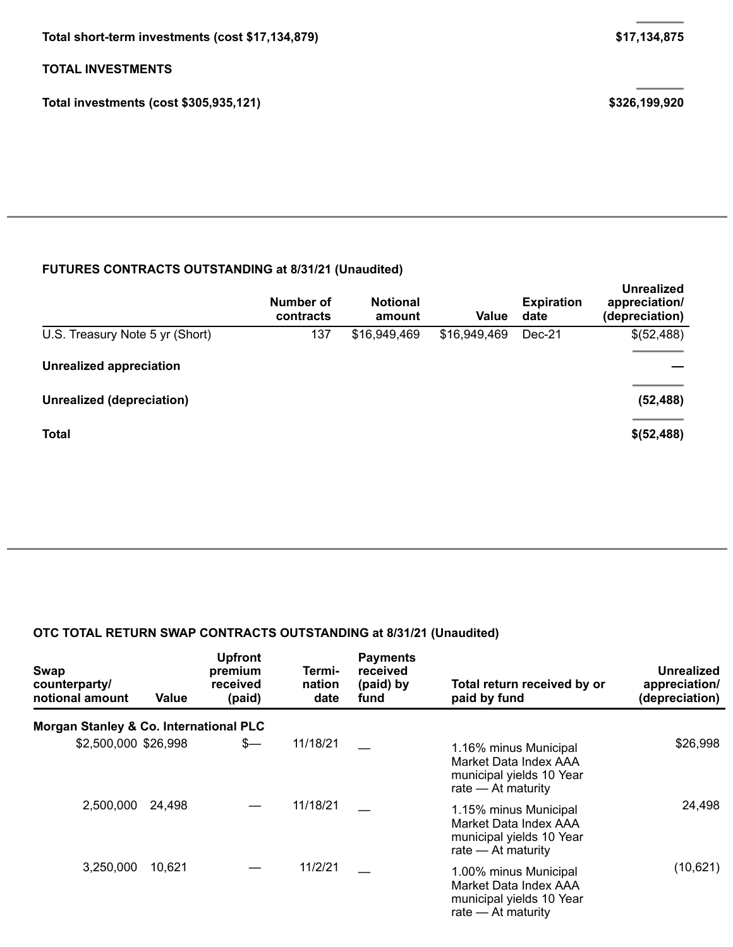## **TOTAL INVESTMENTS**

**Total investments (cost \$305,935,121) \$326,199,920**

### **FUTURES CONTRACTS OUTSTANDING at 8/31/21 (Unaudited)**

|                                 | Number of<br>contracts | <b>Notional</b><br>amount | Value        | <b>Expiration</b><br>date | <b>Unrealized</b><br>appreciation/<br>(depreciation) |
|---------------------------------|------------------------|---------------------------|--------------|---------------------------|------------------------------------------------------|
| U.S. Treasury Note 5 yr (Short) | 137                    | \$16,949,469              | \$16,949,469 | Dec-21                    | \$(52,488)                                           |
| <b>Unrealized appreciation</b>  |                        |                           |              |                           |                                                      |
| Unrealized (depreciation)       |                        |                           |              |                           | (52, 488)                                            |
| <b>Total</b>                    |                        |                           |              |                           | \$(52,488)                                           |

## **OTC TOTAL RETURN SWAP CONTRACTS OUTSTANDING at 8/31/21 (Unaudited)**

| Swap<br>counterparty/<br>notional amount          | Value  | <b>Upfront</b><br>premium<br>received<br>(paid) | Termi-<br>nation<br>date | <b>Payments</b><br>received<br>(paid) by<br>fund | Total return received by or<br>paid by fund                                                        | Unrealized<br>appreciation/<br>(depreciation) |  |
|---------------------------------------------------|--------|-------------------------------------------------|--------------------------|--------------------------------------------------|----------------------------------------------------------------------------------------------------|-----------------------------------------------|--|
| <b>Morgan Stanley &amp; Co. International PLC</b> |        |                                                 |                          |                                                  |                                                                                                    |                                               |  |
| \$2,500,000 \$26,998                              |        | $s-$                                            | 11/18/21                 |                                                  | 1.16% minus Municipal<br>Market Data Index AAA<br>municipal yields 10 Year<br>rate $-$ At maturity | \$26,998                                      |  |
| 2,500,000                                         | 24,498 |                                                 | 11/18/21                 |                                                  | 1.15% minus Municipal<br>Market Data Index AAA<br>municipal yields 10 Year<br>rate $-$ At maturity | 24,498                                        |  |
| 3,250,000                                         | 10,621 |                                                 | 11/2/21                  |                                                  | 1.00% minus Municipal<br>Market Data Index AAA<br>municipal yields 10 Year<br>rate $-$ At maturity | (10, 621)                                     |  |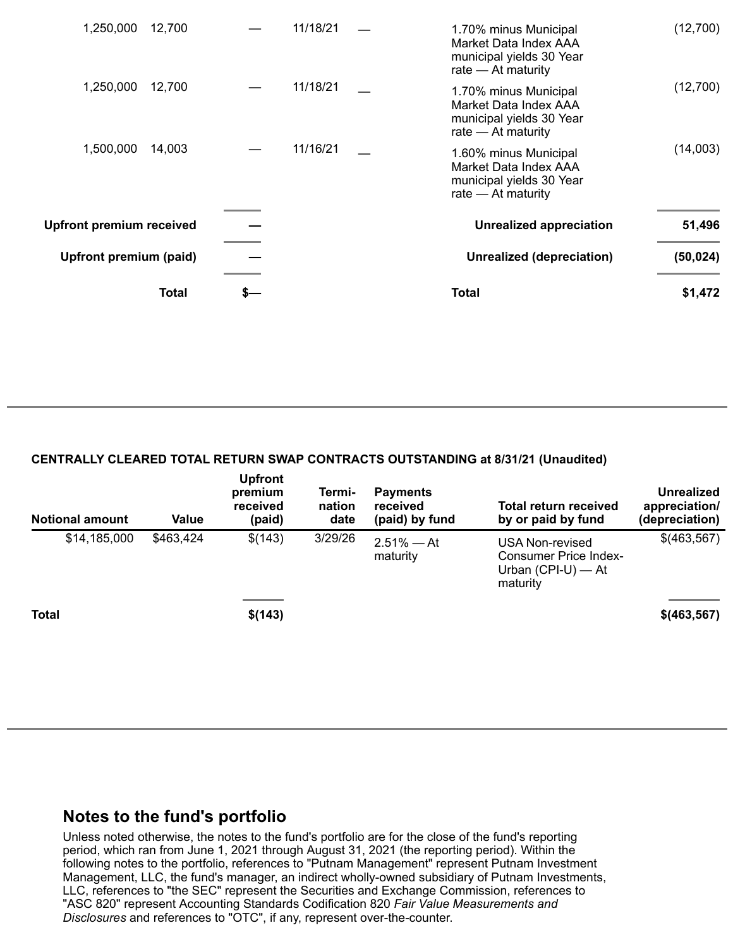| <b>Upfront premium received</b><br>Upfront premium (paid) |        |          | <b>Unrealized appreciation</b><br>Unrealized (depreciation)                                        | 51,496<br>(50, 024) |
|-----------------------------------------------------------|--------|----------|----------------------------------------------------------------------------------------------------|---------------------|
| 1,500,000                                                 | 14,003 | 11/16/21 | 1.60% minus Municipal<br>Market Data Index AAA<br>municipal yields 30 Year<br>rate - At maturity   | (14,003)            |
| 1,250,000                                                 | 12,700 | 11/18/21 | 1.70% minus Municipal<br>Market Data Index AAA<br>municipal yields 30 Year<br>rate - At maturity   | (12,700)            |
| 1,250,000                                                 | 12,700 | 11/18/21 | 1.70% minus Municipal<br>Market Data Index AAA<br>municipal yields 30 Year<br>rate $-$ At maturity | (12,700)            |

#### **CENTRALLY CLEARED TOTAL RETURN SWAP CONTRACTS OUTSTANDING at 8/31/21 (Unaudited)**

| <b>Notional amount</b> | Value     | <b>Upfront</b><br>premium<br>received<br>(paid) | Termi-<br>nation<br>date | <b>Payments</b><br>received<br>(paid) by fund | Total return received<br>by or paid by fund                                  | <b>Unrealized</b><br>appreciation/<br>(depreciation) |
|------------------------|-----------|-------------------------------------------------|--------------------------|-----------------------------------------------|------------------------------------------------------------------------------|------------------------------------------------------|
| \$14,185,000           | \$463,424 | \$(143)                                         | 3/29/26                  | $2.51\% - At$<br>maturity                     | USA Non-revised<br>Consumer Price Index-<br>Urban $(CPI-U)$ - At<br>maturity | \$(463,567)                                          |
| <b>Total</b>           |           | \$(143)                                         |                          |                                               |                                                                              | $$$ (463,567)                                        |

# **Notes to the fund's portfolio**

Unless noted otherwise, the notes to the fund's portfolio are for the close of the fund's reporting period, which ran from June 1, 2021 through August 31, 2021 (the reporting period). Within the following notes to the portfolio, references to "Putnam Management" represent Putnam Investment Management, LLC, the fund's manager, an indirect wholly-owned subsidiary of Putnam Investments, LLC, references to "the SEC" represent the Securities and Exchange Commission, references to "ASC 820" represent Accounting Standards Codification 820 *Fair Value Measurements and Disclosures* and references to "OTC", if any, represent over-the-counter.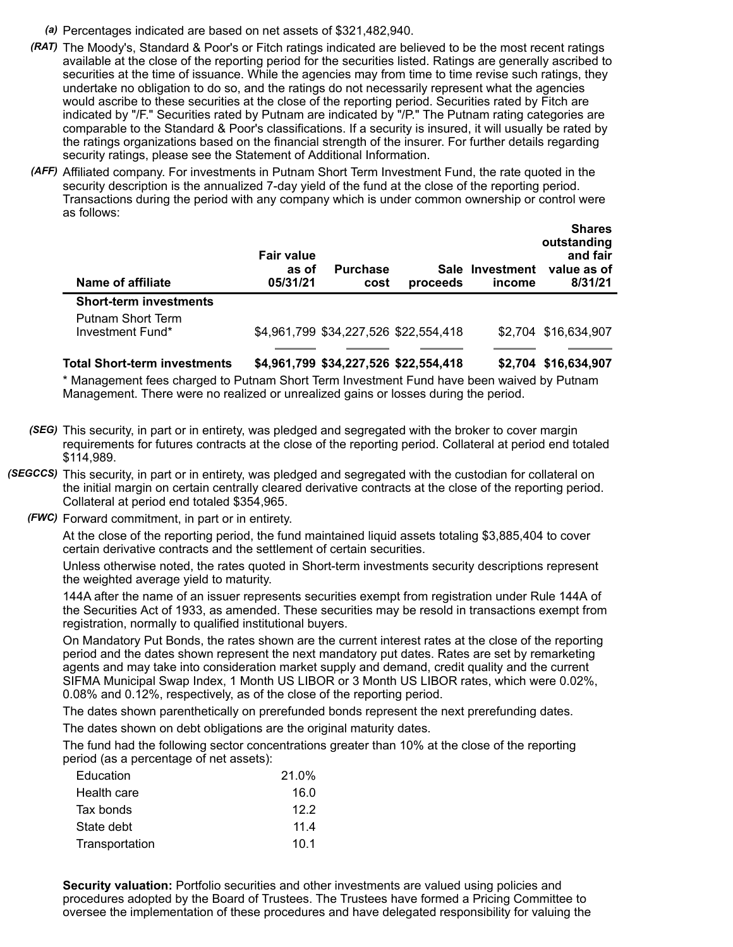- *(a)* Percentages indicated are based on net assets of \$321,482,940.
- *(RAT)* The Moody's, Standard & Poor's or Fitch ratings indicated are believed to be the most recent ratings available at the close of the reporting period for the securities listed. Ratings are generally ascribed to securities at the time of issuance. While the agencies may from time to time revise such ratings, they undertake no obligation to do so, and the ratings do not necessarily represent what the agencies would ascribe to these securities at the close of the reporting period. Securities rated by Fitch are indicated by "/F." Securities rated by Putnam are indicated by "/P." The Putnam rating categories are comparable to the Standard & Poor's classifications. If a security is insured, it will usually be rated by the ratings organizations based on the financial strength of the insurer. For further details regarding security ratings, please see the Statement of Additional Information.
- *(AFF)* Affiliated company. For investments in Putnam Short Term Investment Fund, the rate quoted in the security description is the annualized 7-day yield of the fund at the close of the reporting period. Transactions during the period with any company which is under common ownership or control were as follows:

| Name of affiliate                     | <b>Fair value</b><br>as of<br>05/31/21 | <b>Purchase</b><br>cost | proceeds                              | Sale Investment<br>income | unuru<br>outstanding<br>and fair<br>value as of<br>8/31/21 |
|---------------------------------------|----------------------------------------|-------------------------|---------------------------------------|---------------------------|------------------------------------------------------------|
| <b>Short-term investments</b>         |                                        |                         |                                       |                           |                                                            |
| Putnam Short Term<br>Investment Fund* |                                        |                         | \$4,961,799 \$34,227,526 \$22,554,418 |                           | \$2,704 \$16,634,907                                       |

**Shares**

**Total Short-term investments \$4,961,799 \$34,227,526 \$22,554,418 \$2,704 \$16,634,907**

\* Management fees charged to Putnam Short Term Investment Fund have been waived by Putnam Management. There were no realized or unrealized gains or losses during the period.

- *(SEG)* This security, in part or in entirety, was pledged and segregated with the broker to cover margin requirements for futures contracts at the close of the reporting period. Collateral at period end totaled \$114,989.
- *(SEGCCS)* This security, in part or in entirety, was pledged and segregated with the custodian for collateral on the initial margin on certain centrally cleared derivative contracts at the close of the reporting period. Collateral at period end totaled \$354,965.
	- *(FWC)* Forward commitment, in part or in entirety.

At the close of the reporting period, the fund maintained liquid assets totaling \$3,885,404 to cover certain derivative contracts and the settlement of certain securities.

Unless otherwise noted, the rates quoted in Short-term investments security descriptions represent the weighted average yield to maturity.

144A after the name of an issuer represents securities exempt from registration under Rule 144A of the Securities Act of 1933, as amended. These securities may be resold in transactions exempt from registration, normally to qualified institutional buyers.

On Mandatory Put Bonds, the rates shown are the current interest rates at the close of the reporting period and the dates shown represent the next mandatory put dates. Rates are set by remarketing agents and may take into consideration market supply and demand, credit quality and the current SIFMA Municipal Swap Index, 1 Month US LIBOR or 3 Month US LIBOR rates, which were 0.02%, 0.08% and 0.12%, respectively, as of the close of the reporting period.

The dates shown parenthetically on prerefunded bonds represent the next prerefunding dates.

The dates shown on debt obligations are the original maturity dates.

The fund had the following sector concentrations greater than 10% at the close of the reporting period (as a percentage of net assets):

| Education      | 21.0% |
|----------------|-------|
| Health care    | 16.0  |
| Tax bonds      | 122   |
| State debt     | 11.4  |
| Transportation | 10.1  |

**Security valuation:** Portfolio securities and other investments are valued using policies and procedures adopted by the Board of Trustees. The Trustees have formed a Pricing Committee to oversee the implementation of these procedures and have delegated responsibility for valuing the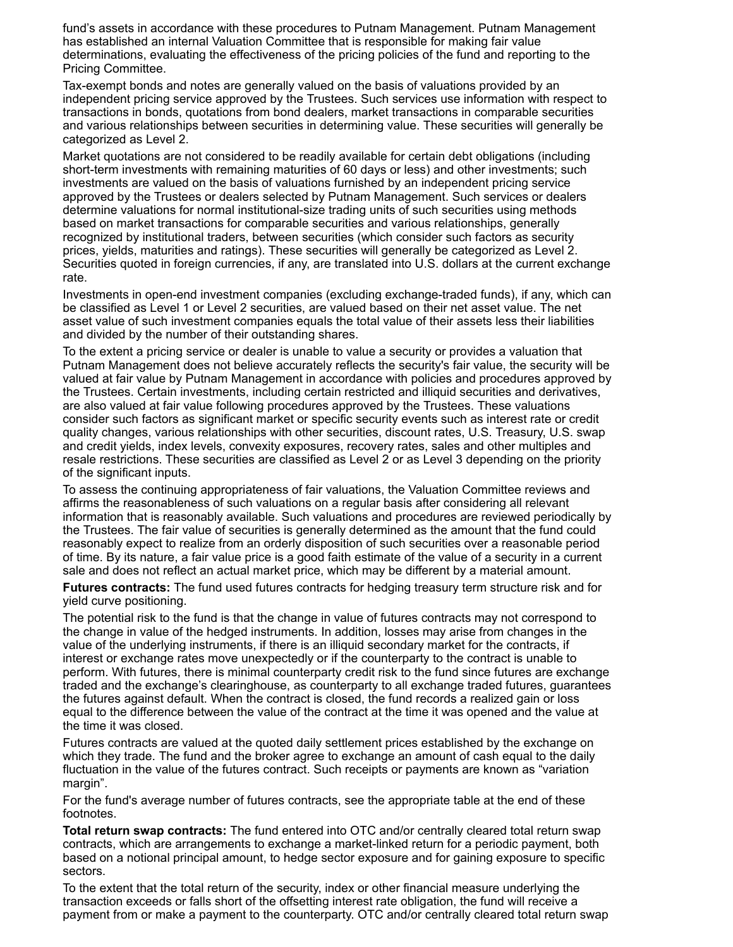fund's assets in accordance with these procedures to Putnam Management. Putnam Management has established an internal Valuation Committee that is responsible for making fair value determinations, evaluating the effectiveness of the pricing policies of the fund and reporting to the Pricing Committee.

Tax-exempt bonds and notes are generally valued on the basis of valuations provided by an independent pricing service approved by the Trustees. Such services use information with respect to transactions in bonds, quotations from bond dealers, market transactions in comparable securities and various relationships between securities in determining value. These securities will generally be categorized as Level 2.

Market quotations are not considered to be readily available for certain debt obligations (including short-term investments with remaining maturities of 60 days or less) and other investments; such investments are valued on the basis of valuations furnished by an independent pricing service approved by the Trustees or dealers selected by Putnam Management. Such services or dealers determine valuations for normal institutional-size trading units of such securities using methods based on market transactions for comparable securities and various relationships, generally recognized by institutional traders, between securities (which consider such factors as security prices, yields, maturities and ratings). These securities will generally be categorized as Level 2. Securities quoted in foreign currencies, if any, are translated into U.S. dollars at the current exchange rate.

Investments in open-end investment companies (excluding exchange-traded funds), if any, which can be classified as Level 1 or Level 2 securities, are valued based on their net asset value. The net asset value of such investment companies equals the total value of their assets less their liabilities and divided by the number of their outstanding shares.

To the extent a pricing service or dealer is unable to value a security or provides a valuation that Putnam Management does not believe accurately reflects the security's fair value, the security will be valued at fair value by Putnam Management in accordance with policies and procedures approved by the Trustees. Certain investments, including certain restricted and illiquid securities and derivatives, are also valued at fair value following procedures approved by the Trustees. These valuations consider such factors as significant market or specific security events such as interest rate or credit quality changes, various relationships with other securities, discount rates, U.S. Treasury, U.S. swap and credit yields, index levels, convexity exposures, recovery rates, sales and other multiples and resale restrictions. These securities are classified as Level 2 or as Level 3 depending on the priority of the significant inputs.

To assess the continuing appropriateness of fair valuations, the Valuation Committee reviews and affirms the reasonableness of such valuations on a regular basis after considering all relevant information that is reasonably available. Such valuations and procedures are reviewed periodically by the Trustees. The fair value of securities is generally determined as the amount that the fund could reasonably expect to realize from an orderly disposition of such securities over a reasonable period of time. By its nature, a fair value price is a good faith estimate of the value of a security in a current sale and does not reflect an actual market price, which may be different by a material amount.

**Futures contracts:** The fund used futures contracts for hedging treasury term structure risk and for yield curve positioning.

The potential risk to the fund is that the change in value of futures contracts may not correspond to the change in value of the hedged instruments. In addition, losses may arise from changes in the value of the underlying instruments, if there is an illiquid secondary market for the contracts, if interest or exchange rates move unexpectedly or if the counterparty to the contract is unable to perform. With futures, there is minimal counterparty credit risk to the fund since futures are exchange traded and the exchange's clearinghouse, as counterparty to all exchange traded futures, guarantees the futures against default. When the contract is closed, the fund records a realized gain or loss equal to the difference between the value of the contract at the time it was opened and the value at the time it was closed.

Futures contracts are valued at the quoted daily settlement prices established by the exchange on which they trade. The fund and the broker agree to exchange an amount of cash equal to the daily fluctuation in the value of the futures contract. Such receipts or payments are known as "variation margin".

For the fund's average number of futures contracts, see the appropriate table at the end of these footnotes.

**Total return swap contracts:** The fund entered into OTC and/or centrally cleared total return swap contracts, which are arrangements to exchange a market-linked return for a periodic payment, both based on a notional principal amount, to hedge sector exposure and for gaining exposure to specific sectors.

To the extent that the total return of the security, index or other financial measure underlying the transaction exceeds or falls short of the offsetting interest rate obligation, the fund will receive a payment from or make a payment to the counterparty. OTC and/or centrally cleared total return swap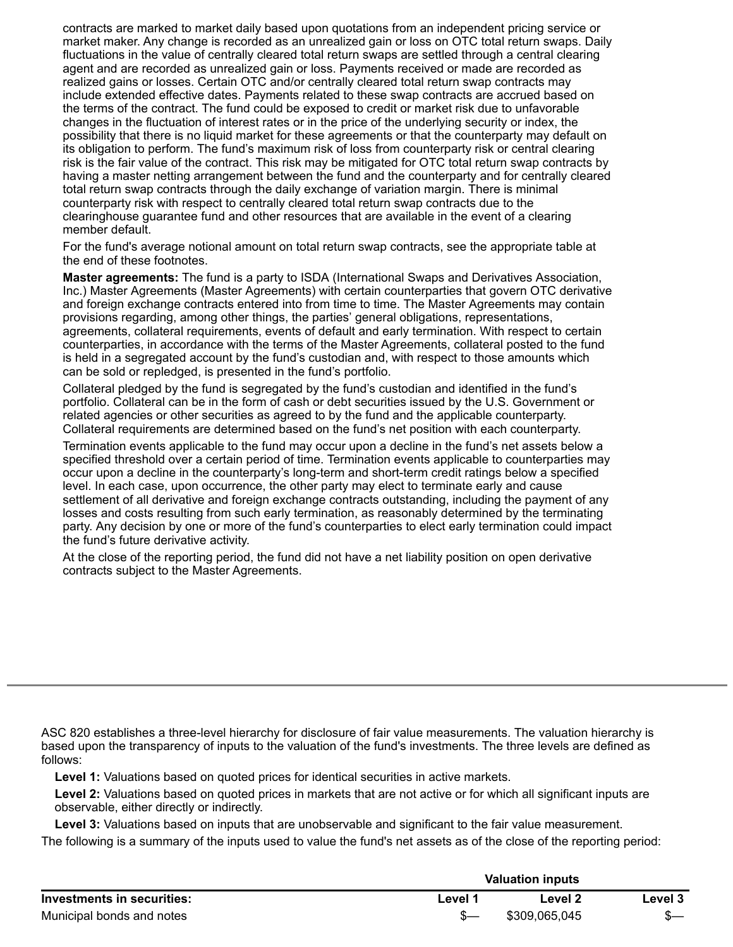contracts are marked to market daily based upon quotations from an independent pricing service or market maker. Any change is recorded as an unrealized gain or loss on OTC total return swaps. Daily fluctuations in the value of centrally cleared total return swaps are settled through a central clearing agent and are recorded as unrealized gain or loss. Payments received or made are recorded as realized gains or losses. Certain OTC and/or centrally cleared total return swap contracts may include extended effective dates. Payments related to these swap contracts are accrued based on the terms of the contract. The fund could be exposed to credit or market risk due to unfavorable changes in the fluctuation of interest rates or in the price of the underlying security or index, the possibility that there is no liquid market for these agreements or that the counterparty may default on its obligation to perform. The fund's maximum risk of loss from counterparty risk or central clearing risk is the fair value of the contract. This risk may be mitigated for OTC total return swap contracts by having a master netting arrangement between the fund and the counterparty and for centrally cleared total return swap contracts through the daily exchange of variation margin. There is minimal counterparty risk with respect to centrally cleared total return swap contracts due to the clearinghouse guarantee fund and other resources that are available in the event of a clearing member default.

For the fund's average notional amount on total return swap contracts, see the appropriate table at the end of these footnotes.

**Master agreements:** The fund is a party to ISDA (International Swaps and Derivatives Association, Inc.) Master Agreements (Master Agreements) with certain counterparties that govern OTC derivative and foreign exchange contracts entered into from time to time. The Master Agreements may contain provisions regarding, among other things, the parties' general obligations, representations, agreements, collateral requirements, events of default and early termination. With respect to certain counterparties, in accordance with the terms of the Master Agreements, collateral posted to the fund is held in a segregated account by the fund's custodian and, with respect to those amounts which can be sold or repledged, is presented in the fund's portfolio.

Collateral pledged by the fund is segregated by the fund's custodian and identified in the fund's portfolio. Collateral can be in the form of cash or debt securities issued by the U.S. Government or related agencies or other securities as agreed to by the fund and the applicable counterparty. Collateral requirements are determined based on the fund's net position with each counterparty.

Termination events applicable to the fund may occur upon a decline in the fund's net assets below a specified threshold over a certain period of time. Termination events applicable to counterparties may occur upon a decline in the counterparty's long-term and short-term credit ratings below a specified level. In each case, upon occurrence, the other party may elect to terminate early and cause settlement of all derivative and foreign exchange contracts outstanding, including the payment of any losses and costs resulting from such early termination, as reasonably determined by the terminating party. Any decision by one or more of the fund's counterparties to elect early termination could impact the fund's future derivative activity.

At the close of the reporting period, the fund did not have a net liability position on open derivative contracts subject to the Master Agreements.

ASC 820 establishes a three-level hierarchy for disclosure of fair value measurements. The valuation hierarchy is based upon the transparency of inputs to the valuation of the fund's investments. The three levels are defined as follows:

**Level 1:** Valuations based on quoted prices for identical securities in active markets.

**Level 2:** Valuations based on quoted prices in markets that are not active or for which all significant inputs are observable, either directly or indirectly.

**Level 3:** Valuations based on inputs that are unobservable and significant to the fair value measurement.

The following is a summary of the inputs used to value the fund's net assets as of the close of the reporting period:

|                            |         | <b>Valuation inputs</b> |         |
|----------------------------|---------|-------------------------|---------|
| Investments in securities: | ∟evel ″ | Level 2                 | Level 3 |
| Municipal bonds and notes  |         | \$309,065,045           |         |